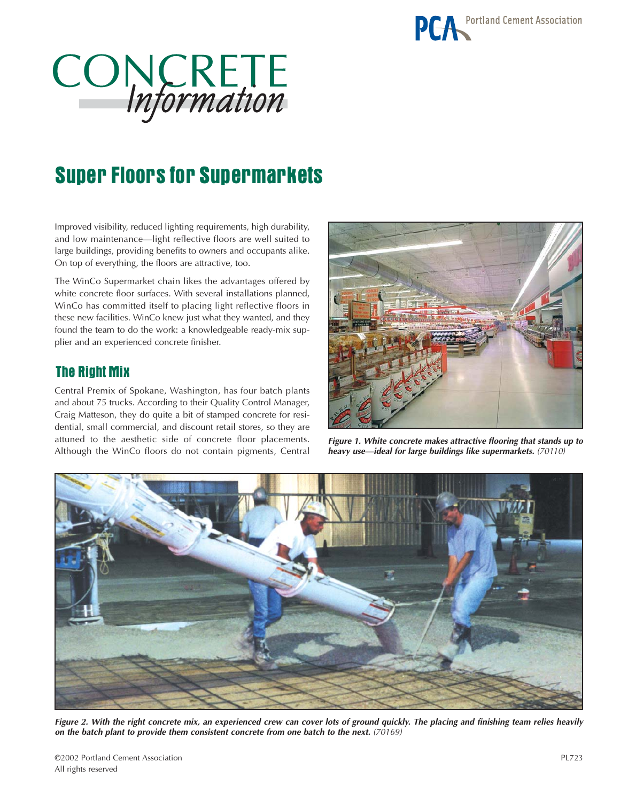

# CONCRETE

## Super Floors for Supermarkets

Improved visibility, reduced lighting requirements, high durability, and low maintenance—light reflective floors are well suited to large buildings, providing benefits to owners and occupants alike. On top of everything, the floors are attractive, too.

The WinCo Supermarket chain likes the advantages offered by white concrete floor surfaces. With several installations planned, WinCo has committed itself to placing light reflective floors in these new facilities. WinCo knew just what they wanted, and they found the team to do the work: a knowledgeable ready-mix supplier and an experienced concrete finisher.

#### The Right Mix

Central Premix of Spokane, Washington, has four batch plants and about 75 trucks. According to their Quality Control Manager, Craig Matteson, they do quite a bit of stamped concrete for residential, small commercial, and discount retail stores, so they are attuned to the aesthetic side of concrete floor placements. Although the WinCo floors do not contain pigments, Central



*Figure 1. White concrete makes attractive flooring that stands up to heavy use—ideal for large buildings like supermarkets. (70110)*



*Figure 2. With the right concrete mix, an experienced crew can cover lots of ground quickly. The placing and finishing team relies heavily on the batch plant to provide them consistent concrete from one batch to the next. (70169)*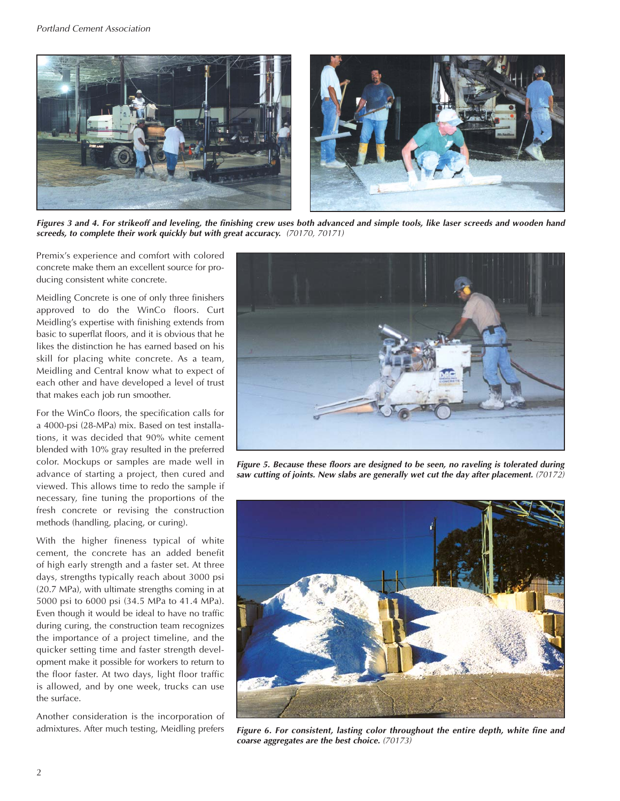

*Figures 3 and 4. For strikeoff and leveling, the finishing crew uses both advanced and simple tools, like laser screeds and wooden hand screeds, to complete their work quickly but with great accuracy. (70170, 70171)*

Premix's experience and comfort with colored concrete make them an excellent source for producing consistent white concrete.

Meidling Concrete is one of only three finishers approved to do the WinCo floors. Curt Meidling's expertise with finishing extends from basic to superflat floors, and it is obvious that he likes the distinction he has earned based on his skill for placing white concrete. As a team, Meidling and Central know what to expect of each other and have developed a level of trust that makes each job run smoother.

For the WinCo floors, the specification calls for a 4000-psi (28-MPa) mix. Based on test installations, it was decided that 90% white cement blended with 10% gray resulted in the preferred color. Mockups or samples are made well in advance of starting a project, then cured and viewed. This allows time to redo the sample if necessary, fine tuning the proportions of the fresh concrete or revising the construction methods (handling, placing, or curing).

With the higher fineness typical of white cement, the concrete has an added benefit of high early strength and a faster set. At three days, strengths typically reach about 3000 psi (20.7 MPa), with ultimate strengths coming in at 5000 psi to 6000 psi (34.5 MPa to 41.4 MPa). Even though it would be ideal to have no traffic during curing, the construction team recognizes the importance of a project timeline, and the quicker setting time and faster strength development make it possible for workers to return to the floor faster. At two days, light floor traffic is allowed, and by one week, trucks can use the surface.

Another consideration is the incorporation of admixtures. After much testing, Meidling prefers



*Figure 5. Because these floors are designed to be seen, no raveling is tolerated during saw cutting of joints. New slabs are generally wet cut the day after placement. (70172)*



*Figure 6. For consistent, lasting color throughout the entire depth, white fine and coarse aggregates are the best choice. (70173)*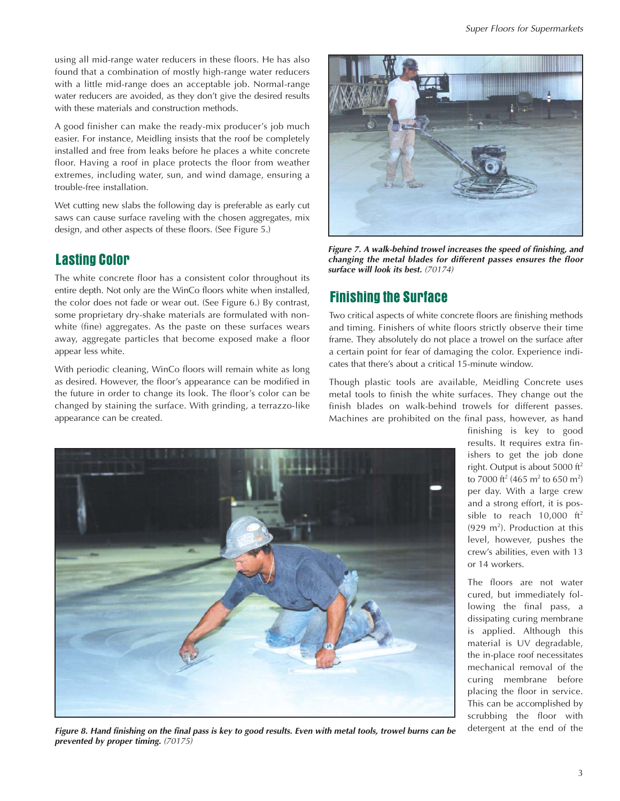using all mid-range water reducers in these floors. He has also found that a combination of mostly high-range water reducers with a little mid-range does an acceptable job. Normal-range water reducers are avoided, as they don't give the desired results with these materials and construction methods.

A good finisher can make the ready-mix producer's job much easier. For instance, Meidling insists that the roof be completely installed and free from leaks before he places a white concrete floor. Having a roof in place protects the floor from weather extremes, including water, sun, and wind damage, ensuring a trouble-free installation.

Wet cutting new slabs the following day is preferable as early cut saws can cause surface raveling with the chosen aggregates, mix design, and other aspects of these floors. (See Figure 5.)

#### Lasting Color

The white concrete floor has a consistent color throughout its entire depth. Not only are the WinCo floors white when installed, the color does not fade or wear out. (See Figure 6.) By contrast, some proprietary dry-shake materials are formulated with nonwhite (fine) aggregates. As the paste on these surfaces wears away, aggregate particles that become exposed make a floor appear less white.

With periodic cleaning, WinCo floors will remain white as long as desired. However, the floor's appearance can be modified in the future in order to change its look. The floor's color can be changed by staining the surface. With grinding, a terrazzo-like appearance can be created.



*Figure 7. A walk-behind trowel increases the speed of finishing, and changing the metal blades for different passes ensures the floor surface will look its best. (70174)*

### Finishing the Surface

Two critical aspects of white concrete floors are finishing methods and timing. Finishers of white floors strictly observe their time frame. They absolutely do not place a trowel on the surface after a certain point for fear of damaging the color. Experience indicates that there's about a critical 15-minute window.

Though plastic tools are available, Meidling Concrete uses metal tools to finish the white surfaces. They change out the finish blades on walk-behind trowels for different passes. Machines are prohibited on the final pass, however, as hand



*Figure 8. Hand finishing on the final pass is key to good results. Even with metal tools, trowel burns can be prevented by proper timing. (70175)*

finishing is key to good results. It requires extra finishers to get the job done right. Output is about 5000 ft<sup>2</sup> to 7000 ft<sup>2</sup> (465 m<sup>2</sup> to 650 m<sup>2</sup>) per day. With a large crew and a strong effort, it is possible to reach  $10,000 \text{ ft}^2$  $(929 \text{ m}^2)$ . Production at this level, however, pushes the crew's abilities, even with 13 or 14 workers.

The floors are not water cured, but immediately following the final pass, a dissipating curing membrane is applied. Although this material is UV degradable, the in-place roof necessitates mechanical removal of the curing membrane before placing the floor in service. This can be accomplished by scrubbing the floor with detergent at the end of the